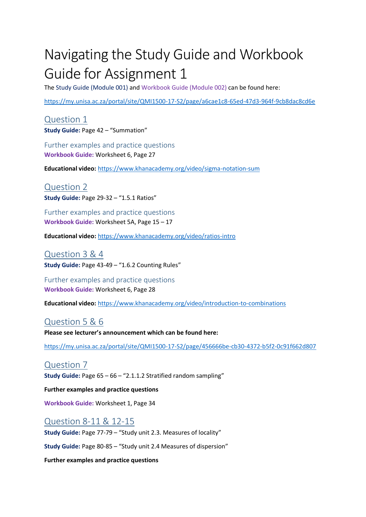## Navigating the Study Guide and Workbook Guide for Assignment 1

The Study Guide (Module 001) and Workbook Guide (Module 002) can be found here:

<https://my.unisa.ac.za/portal/site/QMI1500-17-S2/page/a6cae1c8-65ed-47d3-964f-9cb8dac8cd6e>

Question 1 **Study Guide:** Page 42 – "Summation"

Further examples and practice questions **Workbook Guide:** Worksheet 6, Page 27

**Educational video:** <https://www.khanacademy.org/video/sigma-notation-sum>

Question 2 **Study Guide:** Page 29-32 – "1.5.1 Ratios"

Further examples and practice questions **Workbook Guide:** Worksheet 5A, Page 15 – 17

**Educational video:** <https://www.khanacademy.org/video/ratios-intro>

Question 3 & 4 **Study Guide:** Page 43-49 – "1.6.2 Counting Rules"

Further examples and practice questions **Workbook Guide:** Worksheet 6, Page 28

**Educational video:** <https://www.khanacademy.org/video/introduction-to-combinations>

Question 5 & 6

**Please see lecturer's announcement which can be found here:**

<https://my.unisa.ac.za/portal/site/QMI1500-17-S2/page/456666be-cb30-4372-b5f2-0c91f662d807>

## Question 7

**Study Guide:** Page 65 – 66 – "2.1.1.2 Stratified random sampling"

**Further examples and practice questions**

**Workbook Guide:** Worksheet 1, Page 34

Question 8-11 & 12-15 **Study Guide:** Page 77-79 – "Study unit 2.3. Measures of locality"

**Study Guide:** Page 80-85 – "Study unit 2.4 Measures of dispersion"

**Further examples and practice questions**